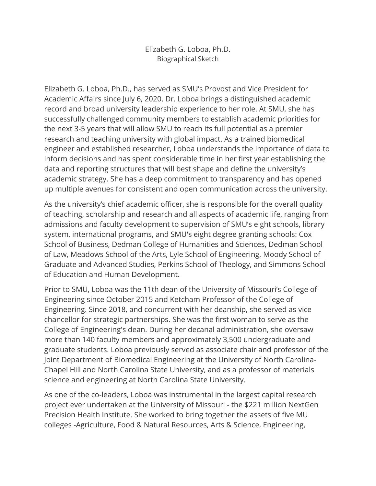Elizabeth G. Loboa, Ph.D. Biographical Sketch

Elizabeth G. Loboa, Ph.D., has served as SMU's Provost and Vice President for Academic Affairs since July 6, 2020. Dr. Loboa brings a distinguished academic record and broad university leadership experience to her role. At SMU, she has successfully challenged community members to establish academic priorities for the next 3-5 years that will allow SMU to reach its full potential as a premier research and teaching university with global impact. As a trained biomedical engineer and established researcher, Loboa understands the importance of data to inform decisions and has spent considerable time in her first year establishing the data and reporting structures that will best shape and define the university's academic strategy. She has a deep commitment to transparency and has opened up multiple avenues for consistent and open communication across the university.

As the university's chief academic officer, she is responsible for the overall quality of teaching, scholarship and research and all aspects of academic life, ranging from admissions and faculty development to supervision of SMU's eight schools, library system, international programs, and SMU's eight degree granting schools: Cox School of Business, Dedman College of Humanities and Sciences, Dedman School of Law, Meadows School of the Arts, Lyle School of Engineering, Moody School of Graduate and Advanced Studies, Perkins School of Theology, and Simmons School of Education and Human Development.

Prior to SMU, Loboa was the 11th dean of the University of Missouri's College of Engineering since October 2015 and Ketcham Professor of the College of Engineering. Since 2018, and concurrent with her deanship, she served as vice chancellor for strategic partnerships. She was the first woman to serve as the College of Engineering's dean. During her decanal administration, she oversaw more than 140 faculty members and approximately 3,500 undergraduate and graduate students. Loboa previously served as associate chair and professor of the Joint Department of Biomedical Engineering at the University of North Carolina-Chapel Hill and North Carolina State University, and as a professor of materials science and engineering at North Carolina State University.

As one of the co-leaders, Loboa was instrumental in the largest capital research project ever undertaken at the University of Missouri - the \$221 million NextGen Precision Health Institute. She worked to bring together the assets of five MU colleges -Agriculture, Food & Natural Resources, Arts & Science, Engineering,